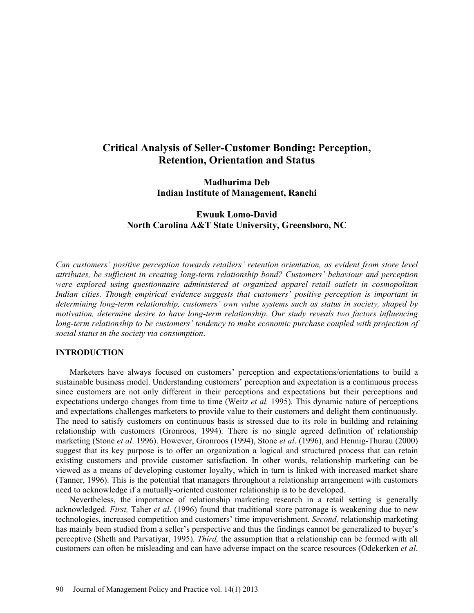# **Critical Analysis of Seller-Customer Bonding: Perception, Retention, Orientation and Status**

**Madhurima Deb Indian Institute of Management, Ranchi** 

# **Ewuuk Lomo-David North Carolina A&T State University, Greensboro, NC**

*Can customers' positive perception towards retailers' retention orientation, as evident from store level attributes, be sufficient in creating long-term relationship bond? Customers' behaviour and perception were explored using questionnaire administered at organized apparel retail outlets in cosmopolitan Indian cities. Though empirical evidence suggests that customers' positive perception is important in determining long-term relationship, customers' own value systems such as status in society, shaped by motivation, determine desire to have long-term relationship. Our study reveals two factors influencing long-term relationship to be customers' tendency to make economic purchase coupled with projection of social status in the society via consumption*.

### **INTRODUCTION**

Marketers have always focused on customers' perception and expectations/orientations to build a sustainable business model. Understanding customers' perception and expectation is a continuous process since customers are not only different in their perceptions and expectations but their perceptions and expectations undergo changes from time to time (Weitz *et al.* 1995). This dynamic nature of perceptions and expectations challenges marketers to provide value to their customers and delight them continuously. The need to satisfy customers on continuous basis is stressed due to its role in building and retaining relationship with customers (Gronroos, 1994). There is no single agreed definition of relationship marketing (Stone *et al*. 1996). However, Gronroos (1994), Stone *et al*. (1996), and Hennig-Thurau (2000) suggest that its key purpose is to offer an organization a logical and structured process that can retain existing customers and provide customer satisfaction. In other words, relationship marketing can be viewed as a means of developing customer loyalty, which in turn is linked with increased market share (Tanner, 1996). This is the potential that managers throughout a relationship arrangement with customers need to acknowledge if a mutually-oriented customer relationship is to be developed.

Nevertheless, the importance of relationship marketing research in a retail setting is generally acknowledged. *First,* Taher *et al*. (1996) found that traditional store patronage is weakening due to new technologies, increased competition and customers' time impoverishment. *Second,* relationship marketing has mainly been studied from a seller's perspective and thus the findings cannot be generalized to buyer's perceptive (Sheth and Parvatiyar, 1995). *Third,* the assumption that a relationship can be formed with all customers can often be misleading and can have adverse impact on the scarce resources (Odekerken *et al*.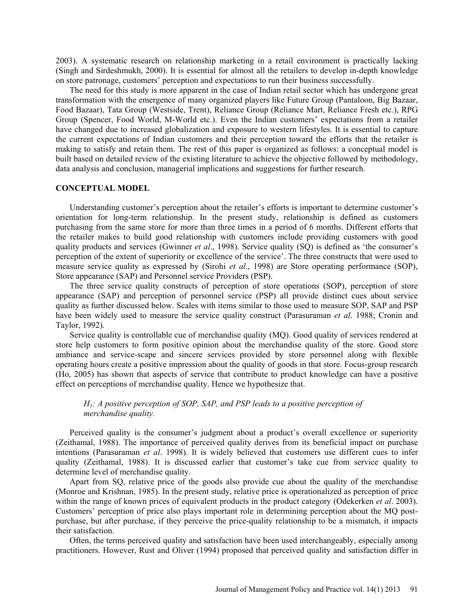2003). A systematic research on relationship marketing in a retail environment is practically lacking (Singh and Sirdeshmukh, 2000). It is essential for almost all the retailers to develop in-depth knowledge on store patronage, customers' perception and expectations to run their business successfully.

The need for this study is more apparent in the case of Indian retail sector which has undergone great transformation with the emergence of many organized players like Future Group (Pantaloon, Big Bazaar, Food Bazaar), Tata Group (Westside, Trent), Reliance Group (Reliance Mart, Reliance Fresh etc.), RPG Group (Spencer, Food World, M-World etc.). Even the Indian customers' expectations from a retailer have changed due to increased globalization and exposure to western lifestyles. It is essential to capture the current expectations of Indian customers and their perception toward the efforts that the retailer is making to satisfy and retain them. The rest of this paper is organized as follows: a conceptual model is built based on detailed review of the existing literature to achieve the objective followed by methodology, data analysis and conclusion, managerial implications and suggestions for further research.

#### **CONCEPTUAL MODEL**

Understanding customer's perception about the retailer's efforts is important to determine customer's orientation for long-term relationship. In the present study, relationship is defined as customers purchasing from the same store for more than three times in a period of 6 months. Different efforts that the retailer makes to build good relationship with customers include providing customers with good quality products and services (Gwinner *et al*., 1998). Service quality (SQ) is defined as 'the consumer's perception of the extent of superiority or excellence of the service'. The three constructs that were used to measure service quality as expressed by (Sirohi *et al*., 1998) are Store operating performance (SOP), Store appearance (SAP) and Personnel service Providers (PSP).

The three service quality constructs of perception of store operations (SOP), perception of store appearance (SAP) and perception of personnel service (PSP) all provide distinct cues about service quality as further discussed below. Scales with items similar to those used to measure SOP, SAP and PSP have been widely used to measure the service quality construct (Parasuraman *et al*. 1988; Cronin and Taylor, 1992).

Service quality is controllable cue of merchandise quality (MQ). Good quality of services rendered at store help customers to form positive opinion about the merchandise quality of the store. Good store ambiance and service-scape and sincere services provided by store personnel along with flexible operating hours create a positive impression about the quality of goods in that store. Focus-group research (Ho, 2005) has shown that aspects of service that contribute to product knowledge can have a positive effect on perceptions of merchandise quality. Hence we hypothesize that.

# *H1: A positive perception of SOP, SAP, and PSP leads to a positive perception of merchandise quality.*

Perceived quality is the consumer's judgment about a product's overall excellence or superiority (Zeithamal, 1988). The importance of perceived quality derives from its beneficial impact on purchase intentions (Parasuraman *et al*. 1998). It is widely believed that customers use different cues to infer quality (Zeithamal, 1988). It is discussed earlier that customer's take cue from service quality to determine level of merchandise quality.

Apart from SQ, relative price of the goods also provide cue about the quality of the merchandise (Monroe and Krishnan, 1985). In the present study, relative price is operationalized as perception of price within the range of known prices of equivalent products in the product category (Odekerken *et al*. 2003). Customers' perception of price also plays important role in determining perception about the MQ postpurchase, but after purchase, if they perceive the price-quality relationship to be a mismatch, it impacts their satisfaction.

Often, the terms perceived quality and satisfaction have been used interchangeably, especially among practitioners. However, Rust and Oliver (1994) proposed that perceived quality and satisfaction differ in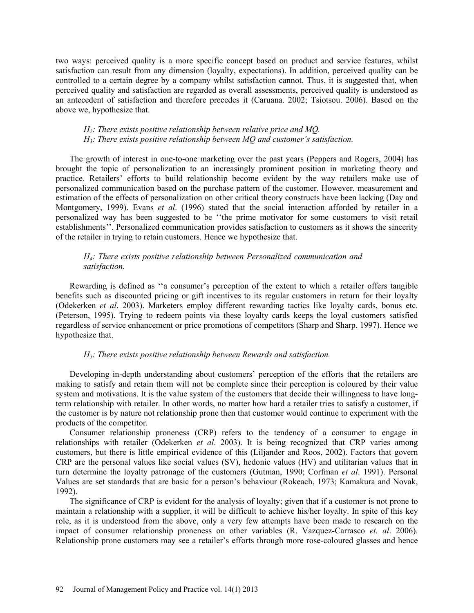two ways: perceived quality is a more specific concept based on product and service features, whilst satisfaction can result from any dimension (loyalty, expectations). In addition, perceived quality can be controlled to a certain degree by a company whilst satisfaction cannot. Thus, it is suggested that, when perceived quality and satisfaction are regarded as overall assessments, perceived quality is understood as an antecedent of satisfaction and therefore precedes it (Caruana. 2002; Tsiotsou. 2006). Based on the above we, hypothesize that.

# *H2: There exists positive relationship between relative price and MQ. H3: There exists positive relationship between MQ and customer's satisfaction.*

The growth of interest in one-to-one marketing over the past years (Peppers and Rogers, 2004) has brought the topic of personalization to an increasingly prominent position in marketing theory and practice. Retailers' efforts to build relationship become evident by the way retailers make use of personalized communication based on the purchase pattern of the customer. However, measurement and estimation of the effects of personalization on other critical theory constructs have been lacking (Day and Montgomery, 1999). Evans *et al*. (1996) stated that the social interaction afforded by retailer in a personalized way has been suggested to be ''the prime motivator for some customers to visit retail establishments''. Personalized communication provides satisfaction to customers as it shows the sincerity of the retailer in trying to retain customers. Hence we hypothesize that.

# *H4: There exists positive relationship between Personalized communication and satisfaction.*

Rewarding is defined as ''a consumer's perception of the extent to which a retailer offers tangible benefits such as discounted pricing or gift incentives to its regular customers in return for their loyalty (Odekerken *et al*. 2003). Marketers employ different rewarding tactics like loyalty cards, bonus etc. (Peterson, 1995). Trying to redeem points via these loyalty cards keeps the loyal customers satisfied regardless of service enhancement or price promotions of competitors (Sharp and Sharp. 1997). Hence we hypothesize that.

### *H5: There exists positive relationship between Rewards and satisfaction.*

Developing in-depth understanding about customers' perception of the efforts that the retailers are making to satisfy and retain them will not be complete since their perception is coloured by their value system and motivations. It is the value system of the customers that decide their willingness to have longterm relationship with retailer. In other words, no matter how hard a retailer tries to satisfy a customer, if the customer is by nature not relationship prone then that customer would continue to experiment with the products of the competitor.

Consumer relationship proneness (CRP) refers to the tendency of a consumer to engage in relationships with retailer (Odekerken *et al*. 2003). It is being recognized that CRP varies among customers, but there is little empirical evidence of this (Liljander and Roos, 2002). Factors that govern CRP are the personal values like social values (SV), hedonic values (HV) and utilitarian values that in turn determine the loyalty patronage of the customers (Gutman, 1990; Corfman *et al*. 1991). Personal Values are set standards that are basic for a person's behaviour (Rokeach, 1973; Kamakura and Novak, 1992).

The significance of CRP is evident for the analysis of loyalty; given that if a customer is not prone to maintain a relationship with a supplier, it will be difficult to achieve his/her loyalty. In spite of this key role, as it is understood from the above, only a very few attempts have been made to research on the impact of consumer relationship proneness on other variables (R. Vazquez-Carrasco *et. al*. 2006). Relationship prone customers may see a retailer's efforts through more rose-coloured glasses and hence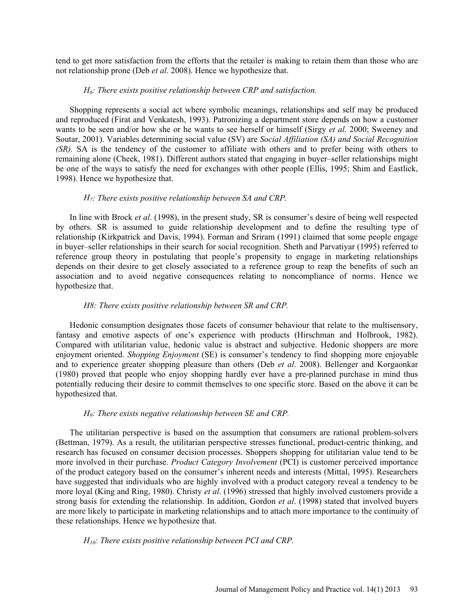tend to get more satisfaction from the efforts that the retailer is making to retain them than those who are not relationship prone (Deb *et al*. 2008). Hence we hypothesize that.

### *H6: There exists positive relationship between CRP and satisfaction.*

Shopping represents a social act where symbolic meanings, relationships and self may be produced and reproduced (Firat and Venkatesh, 1993). Patronizing a department store depends on how a customer wants to be seen and/or how she or he wants to see herself or himself (Sirgy *et al*. 2000; Sweeney and Soutar, 2001). Variables determining social value (SV) are *Social Affiliation (SA) and Social Recognition (SR).* SA is the tendency of the customer to affiliate with others and to prefer being with others to remaining alone (Cheek, 1981). Different authors stated that engaging in buyer–seller relationships might be one of the ways to satisfy the need for exchanges with other people (Ellis, 1995; Shim and Eastlick, 1998). Hence we hypothesize that.

# *H7: There exists positive relationship between SA and CRP.*

In line with Brock *et al*. (1998), in the present study, SR is consumer's desire of being well respected by others. SR is assumed to guide relationship development and to define the resulting type of relationship (Kirkpatrick and Davis, 1994). Forman and Sriram (1991) claimed that some people engage in buyer–seller relationships in their search for social recognition. Sheth and Parvatiyar (1995) referred to reference group theory in postulating that people's propensity to engage in marketing relationships depends on their desire to get closely associated to a reference group to reap the benefits of such an association and to avoid negative consequences relating to noncompliance of norms. Hence we hypothesize that.

# *H8: There exists positive relationship between SR and CRP.*

Hedonic consumption designates those facets of consumer behaviour that relate to the multisensory, fantasy and emotive aspects of one's experience with products (Hirschman and Holbrook, 1982). Compared with utilitarian value, hedonic value is abstract and subjective. Hedonic shoppers are more enjoyment oriented. *Shopping Enjoyment* (SE) is consumer's tendency to find shopping more enjoyable and to experience greater shopping pleasure than others (Deb *et al*. 2008). Bellenger and Korgaonkar (1980) proved that people who enjoy shopping hardly ever have a pre-planned purchase in mind thus potentially reducing their desire to commit themselves to one specific store. Based on the above it can be hypothesized that.

# *H9: There exists negative relationship between SE and CRP.*

The utilitarian perspective is based on the assumption that consumers are rational problem-solvers (Bettman, 1979). As a result, the utilitarian perspective stresses functional, product-centric thinking, and research has focused on consumer decision processes. Shoppers shopping for utilitarian value tend to be more involved in their purchase. *Product Category Involvement* (PCI) is customer perceived importance of the product category based on the consumer's inherent needs and interests (Mittal, 1995). Researchers have suggested that individuals who are highly involved with a product category reveal a tendency to be more loyal (King and Ring, 1980). Christy *et al*. (1996) stressed that highly involved customers provide a strong basis for extending the relationship. In addition, Gordon *et al*. (1998) stated that involved buyers are more likely to participate in marketing relationships and to attach more importance to the continuity of these relationships. Hence we hypothesize that.

# *H10: There exists positive relationship between PCI and CRP.*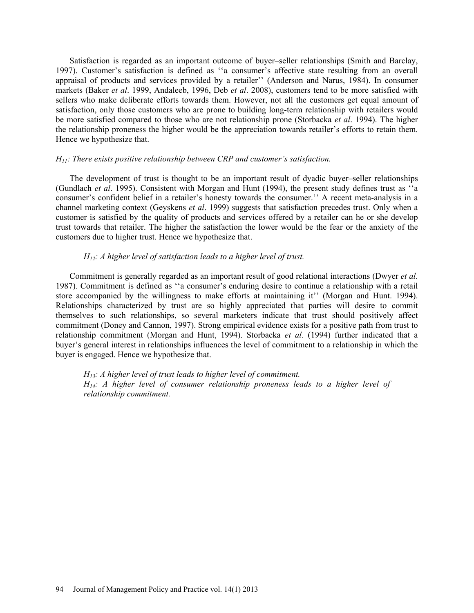Satisfaction is regarded as an important outcome of buyer–seller relationships (Smith and Barclay, 1997). Customer's satisfaction is defined as ''a consumer's affective state resulting from an overall appraisal of products and services provided by a retailer'' (Anderson and Narus, 1984). In consumer markets (Baker *et al*. 1999, Andaleeb, 1996, Deb *et al*. 2008), customers tend to be more satisfied with sellers who make deliberate efforts towards them. However, not all the customers get equal amount of satisfaction, only those customers who are prone to building long-term relationship with retailers would be more satisfied compared to those who are not relationship prone (Storbacka *et al*. 1994). The higher the relationship proneness the higher would be the appreciation towards retailer's efforts to retain them. Hence we hypothesize that.

### *H11: There exists positive relationship between CRP and customer's satisfaction.*

The development of trust is thought to be an important result of dyadic buyer–seller relationships (Gundlach *et al*. 1995). Consistent with Morgan and Hunt (1994), the present study defines trust as ''a consumer's confident belief in a retailer's honesty towards the consumer.'' A recent meta-analysis in a channel marketing context (Geyskens *et al*. 1999) suggests that satisfaction precedes trust. Only when a customer is satisfied by the quality of products and services offered by a retailer can he or she develop trust towards that retailer. The higher the satisfaction the lower would be the fear or the anxiety of the customers due to higher trust. Hence we hypothesize that.

### *H12: A higher level of satisfaction leads to a higher level of trust.*

Commitment is generally regarded as an important result of good relational interactions (Dwyer *et al*. 1987). Commitment is defined as ''a consumer's enduring desire to continue a relationship with a retail store accompanied by the willingness to make efforts at maintaining it'' (Morgan and Hunt. 1994). Relationships characterized by trust are so highly appreciated that parties will desire to commit themselves to such relationships, so several marketers indicate that trust should positively affect commitment (Doney and Cannon, 1997). Strong empirical evidence exists for a positive path from trust to relationship commitment (Morgan and Hunt, 1994). Storbacka *et al*. (1994) further indicated that a buyer's general interest in relationships influences the level of commitment to a relationship in which the buyer is engaged. Hence we hypothesize that.

*H13: A higher level of trust leads to higher level of commitment. H14: A higher level of consumer relationship proneness leads to a higher level of relationship commitment.*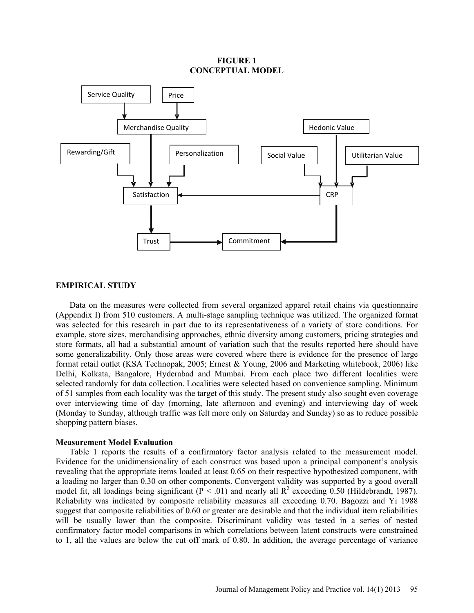### **FIGURE 1 CONCEPTUAL MODEL**



# **EMPIRICAL STUDY**

Data on the measures were collected from several organized apparel retail chains via questionnaire (Appendix I) from 510 customers. A multi-stage sampling technique was utilized. The organized format was selected for this research in part due to its representativeness of a variety of store conditions. For example, store sizes, merchandising approaches, ethnic diversity among customers, pricing strategies and store formats, all had a substantial amount of variation such that the results reported here should have some generalizability. Only those areas were covered where there is evidence for the presence of large format retail outlet (KSA Technopak, 2005; Ernest & Young, 2006 and Marketing whitebook, 2006) like Delhi, Kolkata, Bangalore, Hyderabad and Mumbai. From each place two different localities were selected randomly for data collection. Localities were selected based on convenience sampling. Minimum of 51 samples from each locality was the target of this study. The present study also sought even coverage over interviewing time of day (morning, late afternoon and evening) and interviewing day of week (Monday to Sunday, although traffic was felt more only on Saturday and Sunday) so as to reduce possible shopping pattern biases.

## **Measurement Model Evaluation**

Table 1 reports the results of a confirmatory factor analysis related to the measurement model. Evidence for the unidimensionality of each construct was based upon a principal component's analysis revealing that the appropriate items loaded at least 0.65 on their respective hypothesized component, with a loading no larger than 0.30 on other components. Convergent validity was supported by a good overall model fit, all loadings being significant ( $\overline{P}$  < .01) and nearly all  $\overline{R}^2$  exceeding 0.50 (Hildebrandt, 1987). Reliability was indicated by composite reliability measures all exceeding 0.70. Bagozzi and Yi 1988 suggest that composite reliabilities of 0.60 or greater are desirable and that the individual item reliabilities will be usually lower than the composite. Discriminant validity was tested in a series of nested confirmatory factor model comparisons in which correlations between latent constructs were constrained to 1, all the values are below the cut off mark of 0.80. In addition, the average percentage of variance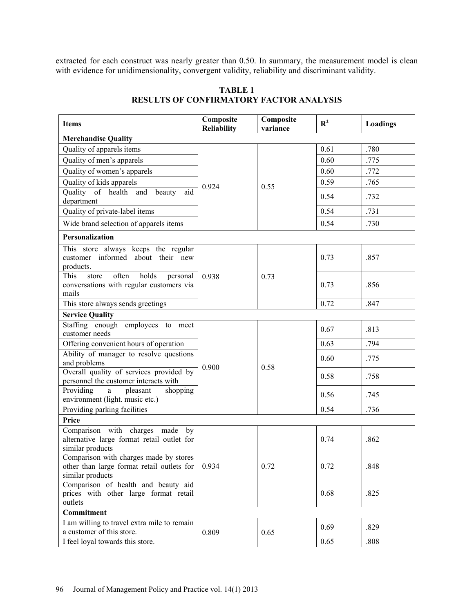extracted for each construct was nearly greater than 0.50. In summary, the measurement model is clean with evidence for unidimensionality, convergent validity, reliability and discriminant validity.

| <b>Items</b>                                                                                             | Composite<br><b>Reliability</b> | Composite<br>variance | $\mathbf{R}^2$ | Loadings |
|----------------------------------------------------------------------------------------------------------|---------------------------------|-----------------------|----------------|----------|
| <b>Merchandise Quality</b>                                                                               |                                 |                       |                |          |
| Quality of apparels items                                                                                |                                 |                       | 0.61           | .780     |
| Quality of men's apparels                                                                                |                                 | 0.55                  | 0.60           | .775     |
| Quality of women's apparels                                                                              |                                 |                       | 0.60           | .772     |
| Quality of kids apparels                                                                                 | 0.924                           |                       | 0.59           | .765     |
| Quality of health and beauty<br>aid<br>department                                                        |                                 |                       | 0.54           | .732     |
| Quality of private-label items                                                                           |                                 |                       | 0.54           | .731     |
| Wide brand selection of apparels items                                                                   |                                 |                       | 0.54           | .730     |
| Personalization                                                                                          |                                 |                       |                |          |
| This store always keeps the regular<br>customer informed about their new<br>products.                    |                                 | 0.73                  | 0.73           | .857     |
| often<br>holds<br>This<br>store<br>personal<br>conversations with regular customers via<br>mails         | 0.938                           |                       | 0.73           | .856     |
| This store always sends greetings                                                                        |                                 |                       | 0.72           | .847     |
| <b>Service Quality</b>                                                                                   |                                 |                       |                |          |
| Staffing enough employees to meet<br>customer needs                                                      |                                 | 0.58                  | 0.67           | .813     |
| Offering convenient hours of operation                                                                   |                                 |                       | 0.63           | .794     |
| Ability of manager to resolve questions<br>and problems                                                  | 0.900                           |                       | 0.60           | .775     |
| Overall quality of services provided by<br>personnel the customer interacts with                         |                                 |                       | 0.58           | .758     |
| Providing<br>pleasant<br>shopping<br>$\rm{a}$<br>environment (light. music etc.)                         |                                 |                       | 0.56           | .745     |
| Providing parking facilities                                                                             |                                 |                       | 0.54           | .736     |
| Price                                                                                                    |                                 |                       |                |          |
| Comparison with charges made<br>by<br>alternative large format retail outlet for<br>similar products     |                                 | 0.72                  | 0.74           | .862     |
| Comparison with charges made by stores<br>other than large format retail outlets for<br>similar products | 0.934                           |                       | 0.72           | .848     |
| Comparison of health and beauty aid<br>prices with other large format retail<br>outlets                  |                                 |                       | 0.68           | .825     |
| Commitment                                                                                               |                                 |                       |                |          |
| I am willing to travel extra mile to remain<br>a customer of this store.                                 | 0.809                           | 0.65                  | 0.69           | .829     |
| I feel loyal towards this store.                                                                         |                                 |                       | 0.65           | .808     |

# **TABLE 1 RESULTS OF CONFIRMATORY FACTOR ANALYSIS**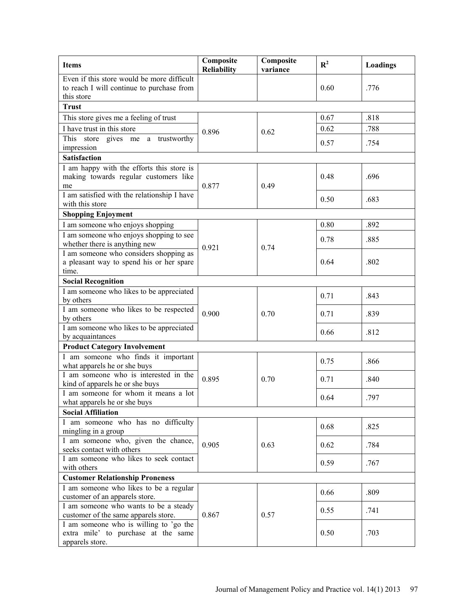| <b>Items</b>                                                                                          | Composite<br><b>Reliability</b> | Composite<br>variance | $R^2$ | Loadings |
|-------------------------------------------------------------------------------------------------------|---------------------------------|-----------------------|-------|----------|
| Even if this store would be more difficult<br>to reach I will continue to purchase from<br>this store |                                 |                       | 0.60  | .776     |
| <b>Trust</b>                                                                                          |                                 |                       |       |          |
| This store gives me a feeling of trust                                                                |                                 |                       | 0.67  | .818     |
| I have trust in this store                                                                            |                                 |                       | 0.62  | .788     |
| This store gives me a trustworthy                                                                     | 0.896                           | 0.62                  |       |          |
| impression                                                                                            |                                 |                       | 0.57  | .754     |
| <b>Satisfaction</b>                                                                                   |                                 |                       |       |          |
| I am happy with the efforts this store is                                                             |                                 |                       |       |          |
| making towards regular customers like                                                                 |                                 |                       | 0.48  | .696     |
| me                                                                                                    | 0.877                           | 0.49                  |       |          |
| I am satisfied with the relationship I have                                                           |                                 |                       | 0.50  | .683     |
| with this store                                                                                       |                                 |                       |       |          |
| <b>Shopping Enjoyment</b>                                                                             |                                 |                       |       |          |
| I am someone who enjoys shopping                                                                      |                                 |                       | 0.80  | .892     |
| I am someone who enjoys shopping to see<br>whether there is anything new                              |                                 |                       | 0.78  | .885     |
| I am someone who considers shopping as                                                                | 0.921                           | 0.74                  |       |          |
| a pleasant way to spend his or her spare                                                              |                                 |                       | 0.64  | .802     |
| time.                                                                                                 |                                 |                       |       |          |
| <b>Social Recognition</b>                                                                             |                                 |                       |       |          |
| I am someone who likes to be appreciated                                                              |                                 |                       |       |          |
| by others                                                                                             |                                 | 0.70                  | 0.71  | .843     |
| I am someone who likes to be respected                                                                | 0.900                           |                       | 0.71  | .839     |
| by others                                                                                             |                                 |                       |       |          |
| I am someone who likes to be appreciated                                                              |                                 |                       | 0.66  | .812     |
| by acquaintances                                                                                      |                                 |                       |       |          |
| <b>Product Category Involvement</b>                                                                   |                                 |                       |       |          |
| I am someone who finds it important                                                                   | 0.895                           | 0.70                  | 0.75  | .866     |
| what apparels he or she buys                                                                          |                                 |                       |       |          |
| I am someone who is interested in the<br>kind of apparels he or she buys                              |                                 |                       | 0.71  | .840     |
| I am someone for whom it means a lot                                                                  |                                 |                       |       |          |
| what apparels he or she buys                                                                          |                                 |                       | 0.64  | .797     |
| <b>Social Affiliation</b>                                                                             |                                 |                       |       |          |
| I am someone who has no difficulty                                                                    |                                 |                       |       |          |
| mingling in a group                                                                                   |                                 |                       | 0.68  | .825     |
| I am someone who, given the chance,                                                                   | 0.905                           |                       |       |          |
| seeks contact with others                                                                             |                                 | 0.63                  | 0.62  | .784     |
| I am someone who likes to seek contact                                                                |                                 |                       | 0.59  | .767     |
| with others                                                                                           |                                 |                       |       |          |
| <b>Customer Relationship Proneness</b>                                                                |                                 |                       |       |          |
| I am someone who likes to be a regular                                                                |                                 |                       | 0.66  | .809     |
| customer of an apparels store.                                                                        |                                 |                       |       |          |
| I am someone who wants to be a steady                                                                 |                                 |                       | 0.55  | .741     |
| customer of the same apparels store.<br>I am someone who is willing to 'go the                        | 0.867                           | 0.57                  |       |          |
| extra mile' to purchase at the same                                                                   |                                 |                       | 0.50  | .703     |
| apparels store.                                                                                       |                                 |                       |       |          |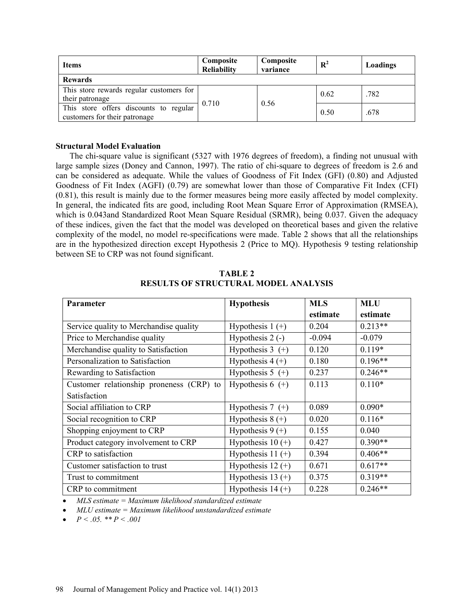| <b>Items</b>                                                            | Composite<br><b>Reliability</b> | Composite<br>variance | $\mathbb{R}^2$ | Loadings |
|-------------------------------------------------------------------------|---------------------------------|-----------------------|----------------|----------|
| <b>Rewards</b>                                                          |                                 |                       |                |          |
| This store rewards regular customers for                                | 0.710                           | 0.56                  | 0.62           | .782     |
| their patronage                                                         |                                 |                       |                |          |
| This store offers discounts to regular<br>customers for their patronage |                                 |                       | 0.50           | .678     |

# **Structural Model Evaluation**

The chi-square value is significant (5327 with 1976 degrees of freedom), a finding not unusual with large sample sizes (Doney and Cannon, 1997). The ratio of chi-square to degrees of freedom is 2.6 and can be considered as adequate. While the values of Goodness of Fit Index (GFI) (0.80) and Adjusted Goodness of Fit Index (AGFI) (0.79) are somewhat lower than those of Comparative Fit Index (CFI) (0.81), this result is mainly due to the former measures being more easily affected by model complexity. In general, the indicated fits are good, including Root Mean Square Error of Approximation (RMSEA), which is 0.043and Standardized Root Mean Square Residual (SRMR), being 0.037. Given the adequacy of these indices, given the fact that the model was developed on theoretical bases and given the relative complexity of the model, no model re-specifications were made. Table 2 shows that all the relationships are in the hypothesized direction except Hypothesis 2 (Price to MQ). Hypothesis 9 testing relationship between SE to CRP was not found significant.

| <b>Parameter</b>                         | <b>Hypothesis</b>   | <b>MLS</b> | <b>MLU</b> |
|------------------------------------------|---------------------|------------|------------|
|                                          |                     | estimate   | estimate   |
| Service quality to Merchandise quality   | Hypothesis $1 (+)$  | 0.204      | $0.213**$  |
| Price to Merchandise quality             | Hypothesis $2$ (-)  | $-0.094$   | $-0.079$   |
| Merchandise quality to Satisfaction      | Hypothesis $3 (+)$  | 0.120      | $0.119*$   |
| Personalization to Satisfaction          | Hypothesis $4 (+)$  | 0.180      | $0.196**$  |
| Rewarding to Satisfaction                | Hypothesis $5 (+)$  | 0.237      | $0.246**$  |
| Customer relationship proneness (CRP) to | Hypothesis $6 (+)$  | 0.113      | $0.110*$   |
| Satisfaction                             |                     |            |            |
| Social affiliation to CRP                | Hypothesis $7 (+)$  | 0.089      | $0.090*$   |
| Social recognition to CRP                | Hypothesis $8 (+)$  | 0.020      | $0.116*$   |
| Shopping enjoyment to CRP                | Hypothesis $9 (+)$  | 0.155      | 0.040      |
| Product category involvement to CRP      | Hypothesis $10 (+)$ | 0.427      | $0.390**$  |
| CRP to satisfaction                      | Hypothesis $11 (+)$ | 0.394      | $0.406**$  |
| Customer satisfaction to trust           | Hypothesis $12 (+)$ | 0.671      | $0.617**$  |
| Trust to commitment                      | Hypothesis 13 $(+)$ | 0.375      | $0.319**$  |
| CRP to commitment                        | Hypothesis $14 (+)$ | 0.228      | $0.246**$  |

**TABLE 2 RESULTS OF STRUCTURAL MODEL ANALYSIS** 

*MLS estimate = Maximum likelihood standardized estimate* 

- *MLU estimate = Maximum likelihood unstandardized estimate*
- $\bullet$   $P < .05$ . \*\*  $P < .001$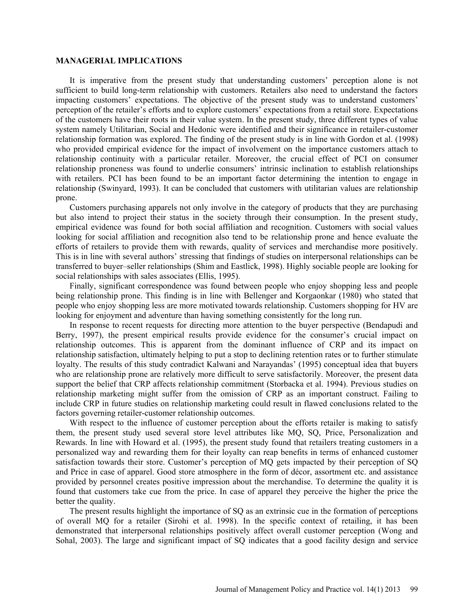#### **MANAGERIAL IMPLICATIONS**

It is imperative from the present study that understanding customers' perception alone is not sufficient to build long-term relationship with customers. Retailers also need to understand the factors impacting customers' expectations. The objective of the present study was to understand customers' perception of the retailer's efforts and to explore customers' expectations from a retail store. Expectations of the customers have their roots in their value system. In the present study, three different types of value system namely Utilitarian, Social and Hedonic were identified and their significance in retailer-customer relationship formation was explored. The finding of the present study is in line with Gordon et al. (1998) who provided empirical evidence for the impact of involvement on the importance customers attach to relationship continuity with a particular retailer. Moreover, the crucial effect of PCI on consumer relationship proneness was found to underlie consumers' intrinsic inclination to establish relationships with retailers. PCI has been found to be an important factor determining the intention to engage in relationship (Swinyard, 1993). It can be concluded that customers with utilitarian values are relationship prone.

Customers purchasing apparels not only involve in the category of products that they are purchasing but also intend to project their status in the society through their consumption. In the present study, empirical evidence was found for both social affiliation and recognition. Customers with social values looking for social affiliation and recognition also tend to be relationship prone and hence evaluate the efforts of retailers to provide them with rewards, quality of services and merchandise more positively. This is in line with several authors' stressing that findings of studies on interpersonal relationships can be transferred to buyer–seller relationships (Shim and Eastlick, 1998). Highly sociable people are looking for social relationships with sales associates (Ellis, 1995).

Finally, significant correspondence was found between people who enjoy shopping less and people being relationship prone. This finding is in line with Bellenger and Korgaonkar (1980) who stated that people who enjoy shopping less are more motivated towards relationship. Customers shopping for HV are looking for enjoyment and adventure than having something consistently for the long run.

In response to recent requests for directing more attention to the buyer perspective (Bendapudi and Berry, 1997), the present empirical results provide evidence for the consumer's crucial impact on relationship outcomes. This is apparent from the dominant influence of CRP and its impact on relationship satisfaction, ultimately helping to put a stop to declining retention rates or to further stimulate loyalty. The results of this study contradict Kalwani and Narayandas' (1995) conceptual idea that buyers who are relationship prone are relatively more difficult to serve satisfactorily. Moreover, the present data support the belief that CRP affects relationship commitment (Storbacka et al. 1994). Previous studies on relationship marketing might suffer from the omission of CRP as an important construct. Failing to include CRP in future studies on relationship marketing could result in flawed conclusions related to the factors governing retailer-customer relationship outcomes.

With respect to the influence of customer perception about the efforts retailer is making to satisfy them, the present study used several store level attributes like MQ, SQ, Price, Personalization and Rewards. In line with Howard et al. (1995), the present study found that retailers treating customers in a personalized way and rewarding them for their loyalty can reap benefits in terms of enhanced customer satisfaction towards their store. Customer's perception of MQ gets impacted by their perception of SQ and Price in case of apparel. Good store atmosphere in the form of décor, assortment etc. and assistance provided by personnel creates positive impression about the merchandise. To determine the quality it is found that customers take cue from the price. In case of apparel they perceive the higher the price the better the quality.

The present results highlight the importance of SQ as an extrinsic cue in the formation of perceptions of overall MQ for a retailer (Sirohi et al. 1998). In the specific context of retailing, it has been demonstrated that interpersonal relationships positively affect overall customer perception (Wong and Sohal, 2003). The large and significant impact of SQ indicates that a good facility design and service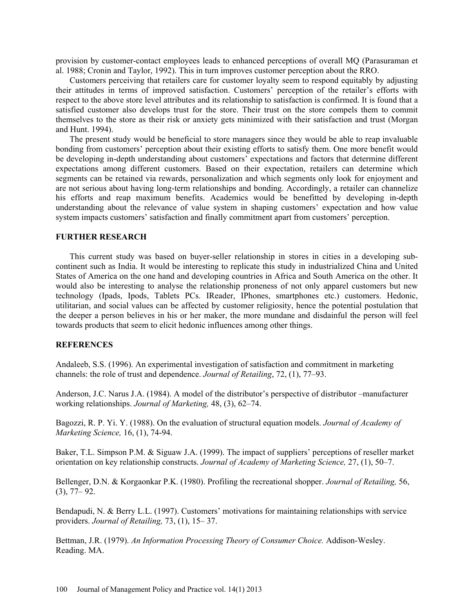provision by customer-contact employees leads to enhanced perceptions of overall MQ (Parasuraman et al. 1988; Cronin and Taylor, 1992). This in turn improves customer perception about the RRO.

Customers perceiving that retailers care for customer loyalty seem to respond equitably by adjusting their attitudes in terms of improved satisfaction. Customers' perception of the retailer's efforts with respect to the above store level attributes and its relationship to satisfaction is confirmed. It is found that a satisfied customer also develops trust for the store. Their trust on the store compels them to commit themselves to the store as their risk or anxiety gets minimized with their satisfaction and trust (Morgan and Hunt. 1994).

The present study would be beneficial to store managers since they would be able to reap invaluable bonding from customers' perception about their existing efforts to satisfy them. One more benefit would be developing in-depth understanding about customers' expectations and factors that determine different expectations among different customers. Based on their expectation, retailers can determine which segments can be retained via rewards, personalization and which segments only look for enjoyment and are not serious about having long-term relationships and bonding. Accordingly, a retailer can channelize his efforts and reap maximum benefits. Academics would be benefitted by developing in-depth understanding about the relevance of value system in shaping customers' expectation and how value system impacts customers' satisfaction and finally commitment apart from customers' perception.

#### **FURTHER RESEARCH**

This current study was based on buyer-seller relationship in stores in cities in a developing subcontinent such as India. It would be interesting to replicate this study in industrialized China and United States of America on the one hand and developing countries in Africa and South America on the other. It would also be interesting to analyse the relationship proneness of not only apparel customers but new technology (Ipads, Ipods, Tablets PCs. IReader, IPhones, smartphones etc.) customers. Hedonic, utilitarian, and social values can be affected by customer religiosity, hence the potential postulation that the deeper a person believes in his or her maker, the more mundane and disdainful the person will feel towards products that seem to elicit hedonic influences among other things.

### **REFERENCES**

Andaleeb, S.S. (1996). An experimental investigation of satisfaction and commitment in marketing channels: the role of trust and dependence. *Journal of Retailing*, 72, (1), 77–93.

Anderson, J.C. Narus J.A. (1984). A model of the distributor's perspective of distributor –manufacturer working relationships. *Journal of Marketing,* 48, (3), 62–74.

Bagozzi, R. P. Yi. Y. (1988). On the evaluation of structural equation models. *Journal of Academy of Marketing Science,* 16, (1), 74-94.

Baker, T.L. Simpson P.M. & Siguaw J.A. (1999). The impact of suppliers' perceptions of reseller market orientation on key relationship constructs. *Journal of Academy of Marketing Science,* 27, (1), 50–7.

Bellenger, D.N. & Korgaonkar P.K. (1980). Profiling the recreational shopper. *Journal of Retailing,* 56, (3), 77– 92.

Bendapudi, N. & Berry L.L. (1997). Customers' motivations for maintaining relationships with service providers. *Journal of Retailing,* 73, (1), 15– 37.

Bettman, J.R. (1979). *An Information Processing Theory of Consumer Choice.* Addison-Wesley. Reading. MA.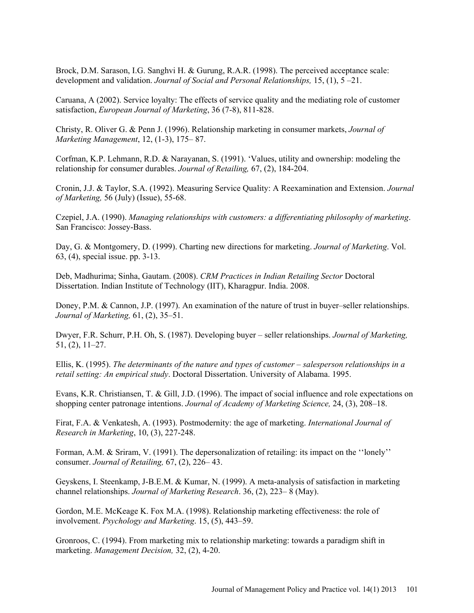Brock, D.M. Sarason, I.G. Sanghvi H. & Gurung, R.A.R. (1998). The perceived acceptance scale: development and validation. *Journal of Social and Personal Relationships,* 15, (1), 5 –21.

Caruana, A (2002). Service loyalty: The effects of service quality and the mediating role of customer satisfaction, *European Journal of Marketing*, 36 (7-8), 811-828.

Christy, R. Oliver G. & Penn J. (1996). Relationship marketing in consumer markets, *Journal of Marketing Management*, 12, (1-3), 175– 87.

Corfman, K.P. Lehmann, R.D. & Narayanan, S. (1991). 'Values, utility and ownership: modeling the relationship for consumer durables. *Journal of Retailing,* 67, (2), 184-204.

Cronin, J.J. & Taylor, S.A. (1992). Measuring Service Quality: A Reexamination and Extension. *Journal of Marketing,* 56 (July) (Issue), 55-68.

Czepiel, J.A. (1990). *Managing relationships with customers: a differentiating philosophy of marketing*. San Francisco: Jossey-Bass.

Day, G. & Montgomery, D. (1999). Charting new directions for marketing. *Journal of Marketing*. Vol. 63, (4), special issue. pp. 3-13.

Deb, Madhurima; Sinha, Gautam. (2008). *CRM Practices in Indian Retailing Sector* Doctoral Dissertation. Indian Institute of Technology (IIT), Kharagpur. India. 2008.

Doney, P.M. & Cannon, J.P. (1997). An examination of the nature of trust in buyer–seller relationships. *Journal of Marketing,* 61, (2), 35–51.

Dwyer, F.R. Schurr, P.H. Oh, S. (1987). Developing buyer – seller relationships. *Journal of Marketing,* 51, (2), 11–27.

Ellis, K. (1995). *The determinants of the nature and types of customer – salesperson relationships in a retail setting: An empirical study*. Doctoral Dissertation. University of Alabama. 1995.

Evans, K.R. Christiansen, T. & Gill, J.D. (1996). The impact of social influence and role expectations on shopping center patronage intentions. *Journal of Academy of Marketing Science,* 24, (3), 208–18.

Firat, F.A. & Venkatesh, A. (1993). Postmodernity: the age of marketing. *International Journal of Research in Marketing*, 10, (3), 227-248.

Forman, A.M. & Sriram, V. (1991). The depersonalization of retailing: its impact on the ''lonely'' consumer. *Journal of Retailing,* 67, (2), 226– 43.

Geyskens, I. Steenkamp, J-B.E.M. & Kumar, N. (1999). A meta-analysis of satisfaction in marketing channel relationships. *Journal of Marketing Research*. 36, (2), 223– 8 (May).

Gordon, M.E. McKeage K. Fox M.A. (1998). Relationship marketing effectiveness: the role of involvement. *Psychology and Marketing*. 15, (5), 443–59.

Gronroos, C. (1994). From marketing mix to relationship marketing: towards a paradigm shift in marketing. *Management Decision,* 32, (2), 4-20.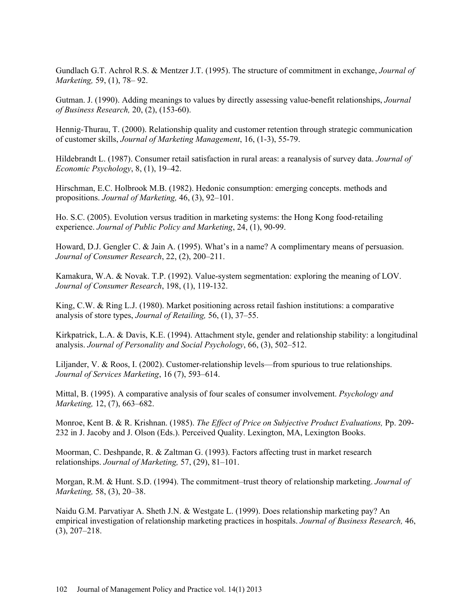Gundlach G.T. Achrol R.S. & Mentzer J.T. (1995). The structure of commitment in exchange, *Journal of Marketing,* 59, (1), 78– 92.

Gutman. J. (1990). Adding meanings to values by directly assessing value-benefit relationships, *Journal of Business Research,* 20, (2), (153-60).

Hennig-Thurau, T. (2000). Relationship quality and customer retention through strategic communication of customer skills, *Journal of Marketing Management*, 16, (1-3), 55-79.

Hildebrandt L. (1987). Consumer retail satisfaction in rural areas: a reanalysis of survey data. *Journal of Economic Psychology*, 8, (1), 19–42.

Hirschman, E.C. Holbrook M.B. (1982). Hedonic consumption: emerging concepts. methods and propositions. *Journal of Marketing,* 46, (3), 92–101.

Ho. S.C. (2005). Evolution versus tradition in marketing systems: the Hong Kong food-retailing experience. *Journal of Public Policy and Marketing*, 24, (1), 90-99.

Howard, D.J. Gengler C. & Jain A. (1995). What's in a name? A complimentary means of persuasion. *Journal of Consumer Research*, 22, (2), 200–211.

Kamakura, W.A. & Novak. T.P. (1992). Value-system segmentation: exploring the meaning of LOV. *Journal of Consumer Research*, 198, (1), 119-132.

King, C.W. & Ring L.J. (1980). Market positioning across retail fashion institutions: a comparative analysis of store types, *Journal of Retailing,* 56, (1), 37–55.

Kirkpatrick, L.A. & Davis, K.E. (1994). Attachment style, gender and relationship stability: a longitudinal analysis. *Journal of Personality and Social Psychology*, 66, (3), 502–512.

Liljander, V. & Roos, I. (2002). Customer-relationship levels—from spurious to true relationships. *Journal of Services Marketing*, 16 (7), 593–614.

Mittal, B. (1995). A comparative analysis of four scales of consumer involvement. *Psychology and Marketing,* 12, (7), 663–682.

Monroe, Kent B. & R. Krishnan. (1985). *The Effect of Price on Subjective Product Evaluations,* Pp. 209- 232 in J. Jacoby and J. Olson (Eds.). Perceived Quality. Lexington, MA, Lexington Books.

Moorman, C. Deshpande, R. & Zaltman G. (1993). Factors affecting trust in market research relationships. *Journal of Marketing,* 57, (29), 81–101.

Morgan, R.M. & Hunt. S.D. (1994). The commitment–trust theory of relationship marketing. *Journal of Marketing,* 58, (3), 20–38.

Naidu G.M. Parvatiyar A. Sheth J.N. & Westgate L. (1999). Does relationship marketing pay? An empirical investigation of relationship marketing practices in hospitals. *Journal of Business Research,* 46, (3), 207–218.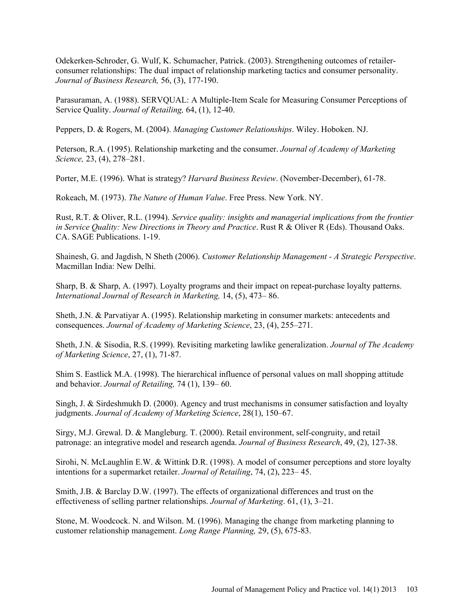Odekerken-Schroder, G. Wulf, K. Schumacher, Patrick. (2003). Strengthening outcomes of retailerconsumer relationships: The dual impact of relationship marketing tactics and consumer personality. *Journal of Business Research,* 56, (3), 177-190.

Parasuraman, A. (1988). SERVQUAL: A Multiple-Item Scale for Measuring Consumer Perceptions of Service Quality. *Journal of Retailing,* 64, (1), 12-40.

Peppers, D. & Rogers, M. (2004). *Managing Customer Relationships*. Wiley. Hoboken. NJ.

Peterson, R.A. (1995). Relationship marketing and the consumer. *Journal of Academy of Marketing Science,* 23, (4), 278–281.

Porter, M.E. (1996). What is strategy? *Harvard Business Review*. (November-December), 61-78.

Rokeach, M. (1973). *The Nature of Human Value*. Free Press. New York. NY.

Rust, R.T. & Oliver, R.L. (1994). *Service quality: insights and managerial implications from the frontier in Service Quality: New Directions in Theory and Practice*. Rust R & Oliver R (Eds). Thousand Oaks. CA. SAGE Publications. 1-19.

Shainesh, G. and Jagdish, N Sheth (2006). *Customer Relationship Management - A Strategic Perspective*. Macmillan India: New Delhi.

Sharp, B. & Sharp, A. (1997). Loyalty programs and their impact on repeat-purchase loyalty patterns. *International Journal of Research in Marketing,* 14, (5), 473– 86.

Sheth, J.N. & Parvatiyar A. (1995). Relationship marketing in consumer markets: antecedents and consequences. *Journal of Academy of Marketing Science*, 23, (4), 255–271.

Sheth, J.N. & Sisodia, R.S. (1999). Revisiting marketing lawlike generalization. *Journal of The Academy of Marketing Science*, 27, (1), 71-87.

Shim S. Eastlick M.A. (1998). The hierarchical influence of personal values on mall shopping attitude and behavior. *Journal of Retailing,* 74 (1), 139– 60.

Singh, J. & Sirdeshmukh D. (2000). Agency and trust mechanisms in consumer satisfaction and loyalty judgments. *Journal of Academy of Marketing Science*, 28(1), 150–67.

Sirgy, M.J. Grewal. D. & Mangleburg. T. (2000). Retail environment, self-congruity, and retail patronage: an integrative model and research agenda. *Journal of Business Research*, 49, (2), 127-38.

Sirohi, N. McLaughlin E.W. & Wittink D.R. (1998). A model of consumer perceptions and store loyalty intentions for a supermarket retailer. *Journal of Retailing*, 74, (2), 223– 45.

Smith, J.B. & Barclay D.W. (1997). The effects of organizational differences and trust on the effectiveness of selling partner relationships. *Journal of Marketing*. 61, (1), 3–21.

Stone, M. Woodcock. N. and Wilson. M. (1996). Managing the change from marketing planning to customer relationship management. *Long Range Planning,* 29, (5), 675-83.